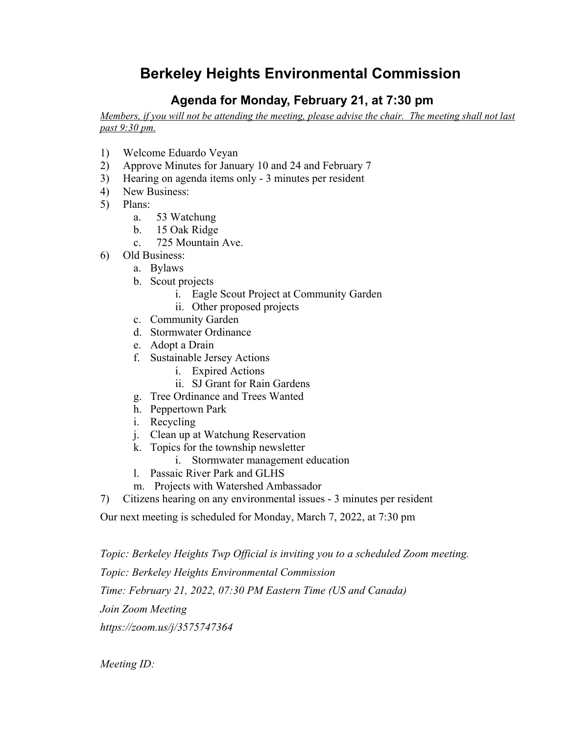## **Berkeley Heights Environmental Commission**

## **Agenda for Monday, February 21, at 7:30 pm**

Members, if you will not be attending the meeting, please advise the chair. The meeting shall not last *past 9:30 pm.*

- 1) Welcome Eduardo Veyan
- 2) Approve Minutes for January 10 and 24 and February 7
- 3) Hearing on agenda items only 3 minutes per resident
- 4) New Business:
- 5) Plans:
	- a. 53 Watchung
	- b. 15 Oak Ridge
	- c. 725 Mountain Ave.
- 6) Old Business:
	- a. Bylaws
	- b. Scout projects
		- i. Eagle Scout Project at Community Garden
		- ii. Other proposed projects
	- c. Community Garden
	- d. Stormwater Ordinance
	- e. Adopt a Drain
	- f. Sustainable Jersey Actions
		- i. Expired Actions
		- ii. SJ Grant for Rain Gardens
	- g. Tree Ordinance and Trees Wanted
	- h. Peppertown Park
	- i. Recycling
	- j. Clean up at Watchung Reservation
	- k. Topics for the township newsletter
		- i. Stormwater management education
	- l. Passaic River Park and GLHS
	- m. Projects with Watershed Ambassador
- 7) Citizens hearing on any environmental issues 3 minutes per resident

Our next meeting is scheduled for Monday, March 7, 2022, at 7:30 pm

*Topic: Berkeley Heights Twp Official is inviting you to a scheduled Zoom meeting.*

*Topic: Berkeley Heights Environmental Commission*

*Time: February 21, 2022, 07:30 PM Eastern Time (US and Canada)*

*Join Zoom Meeting*

*https://zoom.us/j/3575747364*

*Meeting ID:*